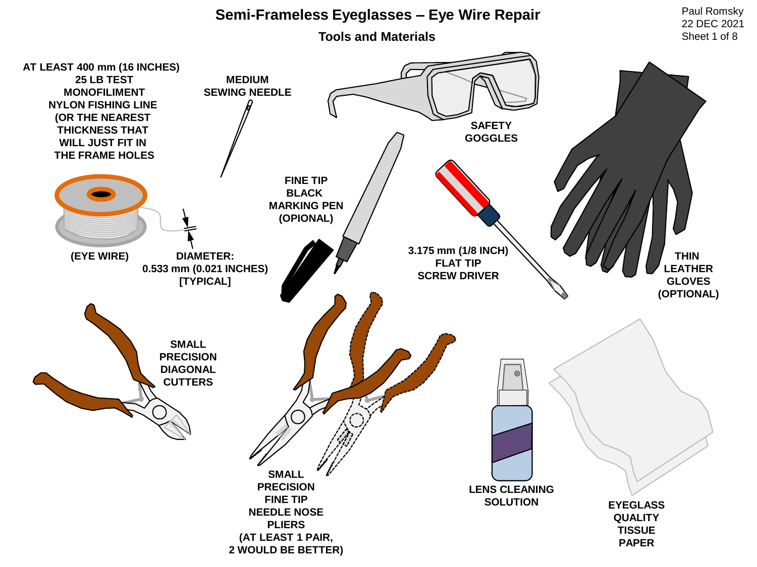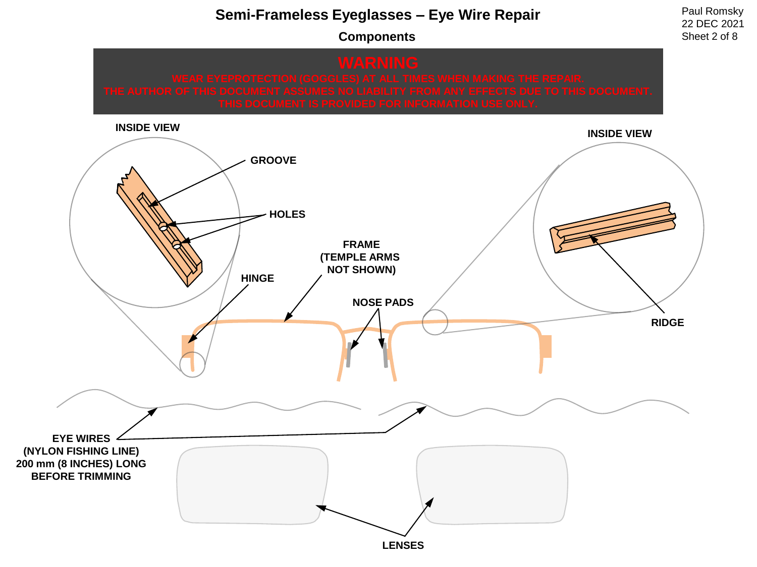**Components**

22 DEC 2021 Sheet 2 of 8

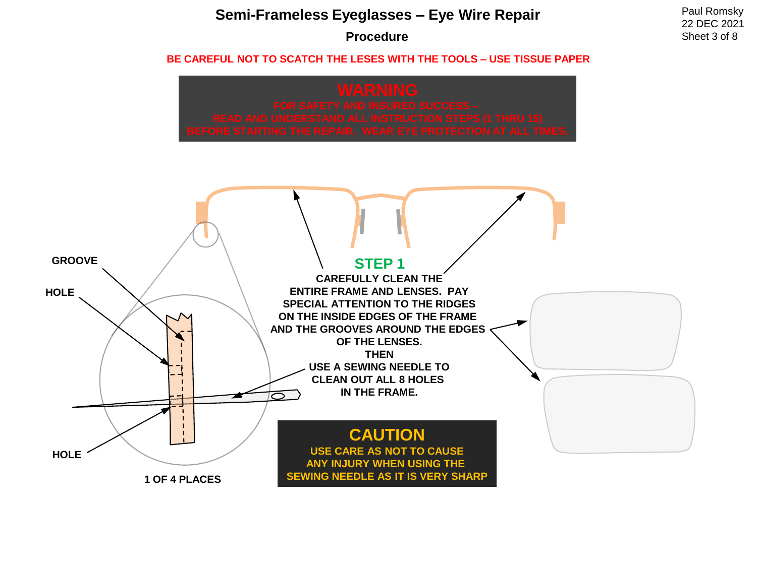### **Procedure**

22 DEC 2021 Sheet 3 of 8

#### **BE CAREFUL NOT TO SCATCH THE LESES WITH THE TOOLS – USE TISSUE PAPER**



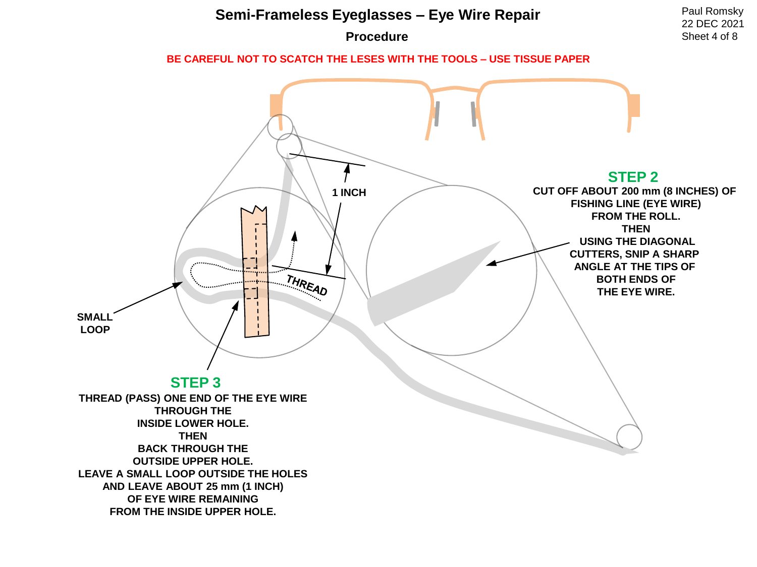### **Procedure**

22 DEC 2021 Sheet 4 of 8

#### **BE CAREFUL NOT TO SCATCH THE LESES WITH THE TOOLS – USE TISSUE PAPER**

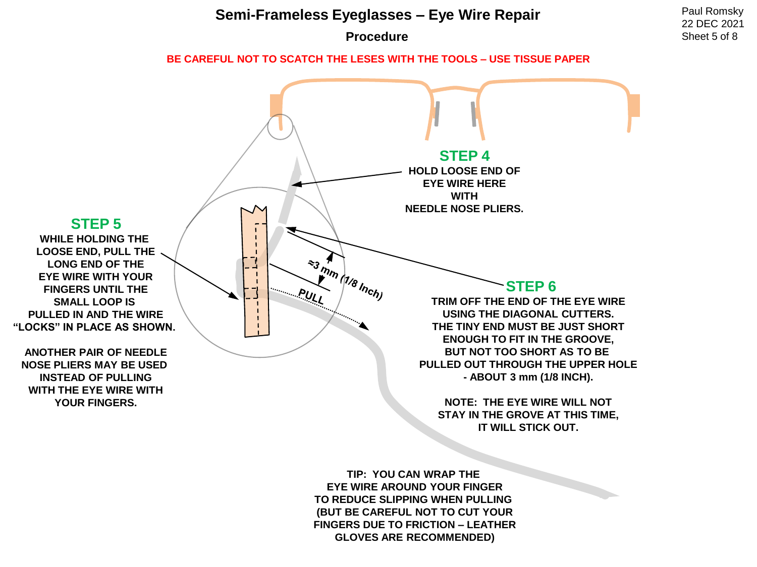**Procedure**

22 DEC 2021 Sheet 5 of 8

**BE CAREFUL NOT TO SCATCH THE LESES WITH THE TOOLS – USE TISSUE PAPER**



**EYE WIRE AROUND YOUR FINGER TO REDUCE SLIPPING WHEN PULLING (BUT BE CAREFUL NOT TO CUT YOUR FINGERS DUE TO FRICTION – LEATHER GLOVES ARE RECOMMENDED)**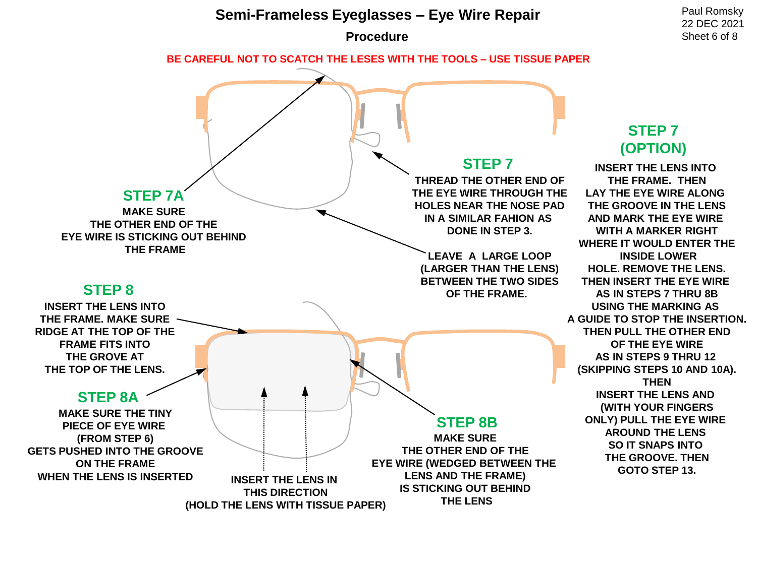

**(HOLD THE LENS WITH TISSUE PAPER)**

**THE LENS**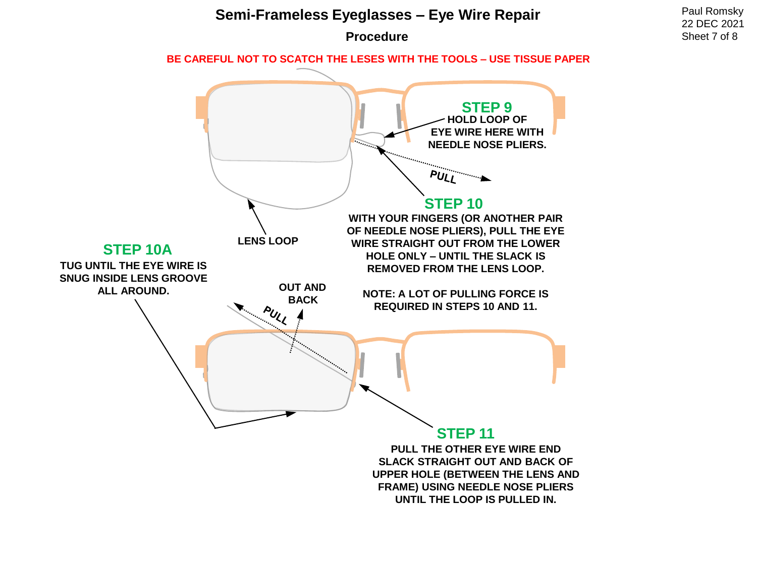

**Procedure**

22 DEC 2021 Sheet 7 of 8

**BE CAREFUL NOT TO SCATCH THE LESES WITH THE TOOLS – USE TISSUE PAPER**